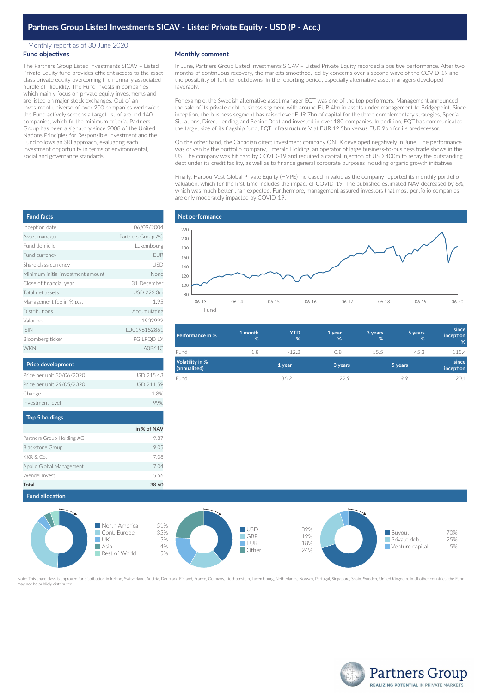## Monthly report as of 30 June 2020 **Fund objectives**

The Partners Group Listed Investments SICAV – Listed Private Equity fund provides efficient access to the asset class private equity overcoming the normally associated hurdle of illiquidity. The Fund invests in companies which mainly focus on private equity investments and are listed on major stock exchanges. Out of an investment universe of over 200 companies worldwide, the Fund actively screens a target list of around 140 companies, which fit the minimum criteria. Partners Group has been a signatory since 2008 of the United Nations Principles for Responsible Investment and the Fund follows an SRI approach, evaluating each investment opportunity in terms of environmental, social and governance standards.

## **Monthly comment**

In June, Partners Group Listed Investments SICAV – Listed Private Equity recorded a positive performance. After two months of continuous recovery, the markets smoothed, led by concerns over a second wave of the COVID-19 and the possibility of further lockdowns. In the reporting period, especially alternative asset managers developed favorably.

For example, the Swedish alternative asset manager EQT was one of the top performers. Management announced the sale of its private debt business segment with around EUR 4bn in assets under management to Bridgepoint. Since inception, the business segment has raised over EUR 7bn of capital for the three complementary strategies, Special Situations, Direct Lending and Senior Debt and invested in over 180 companies. In addition, EQT has communicated the target size of its flagship fund, EQT Infrastructure V at EUR 12.5bn versus EUR 9bn for its predecessor.

On the other hand, the Canadian direct investment company ONEX developed negatively in June. The performance was driven by the portfolio company, Emerald Holding, an operator of large business-to-business trade shows in the US. The company was hit hard by COVID-19 and required a capital injection of USD 400m to repay the outstanding debt under its credit facility, as well as to finance general corporate purposes including organic growth initiatives.

Finally, HarbourVest Global Private Equity (HVPE) increased in value as the company reported its monthly portfolio valuation, which for the first-time includes the impact of COVID-19. The published estimated NAV decreased by 6%, which was much better than expected. Furthermore, management assured investors that most portfolio companies are only moderately impacted by COVID-19.

| <b>Fund facts</b>                 |                   |  |  |
|-----------------------------------|-------------------|--|--|
| Inception date                    | 06/09/2004        |  |  |
| Asset manager                     | Partners Group AG |  |  |
| Fund domicile                     | Luxembourg        |  |  |
| Fund currency                     | EUR               |  |  |
| Share class currency              | USD               |  |  |
| Minimum initial investment amount | None              |  |  |
| Close of financial year           | 31 December       |  |  |
| Total net assets                  | USD 222.3m        |  |  |
| Management fee in % p.a.          | 1.95              |  |  |
| Distributions                     | Accumulating      |  |  |
| Valor no.                         | 1902992           |  |  |
| <b>ISIN</b>                       | IU0196152861      |  |  |
| Bloomberg ticker                  | PGILPQD LX        |  |  |
| <b>WKN</b>                        | A0B61C            |  |  |
| <b>Price development</b>          |                   |  |  |
| Price per unit 30/06/2020         | USD 215.43        |  |  |
| Price per unit 29/05/2020         | USD 211.59        |  |  |
| Change                            | 1.8%              |  |  |
| Investment level                  | 99%               |  |  |

| Top 5 holdings            |             |
|---------------------------|-------------|
|                           | in % of NAV |
| Partners Group Holding AG | 9.87        |
| <b>Blackstone Group</b>   | 9.05        |
| KKR & Co.                 | 7.08        |
| Apollo Global Management  | 7.04        |
| Wendel Invest             | 5.56        |
| Total                     | 38.6        |



| <b>Performance in %</b>                | 1 month<br>% | <b>YTD</b><br>% | 1 year<br>% | 3 years<br>% | 5 years<br>% | since<br>inception<br>% |
|----------------------------------------|--------------|-----------------|-------------|--------------|--------------|-------------------------|
| Fund                                   | 1.8          | $-122$          | 0.8         | 15.5         | 45.3         | 115.4                   |
| <b>Volatility in %</b><br>(annualized) |              | 1 year          | 3 years     |              | 5 years      | since<br>inception      |
| Fund                                   |              | 36.2            | 229         |              | 19.9         | 20.1                    |





Note: This share class is approved for distribution in Ireland, Switzerland, Austria, Denmark, Finland, France, Germany, Liechtenstein, Luxembourg, Netherlands, Norway, Portugal, Singapore, Spain, Sweden, United Kingdom. I may share elass is approved.